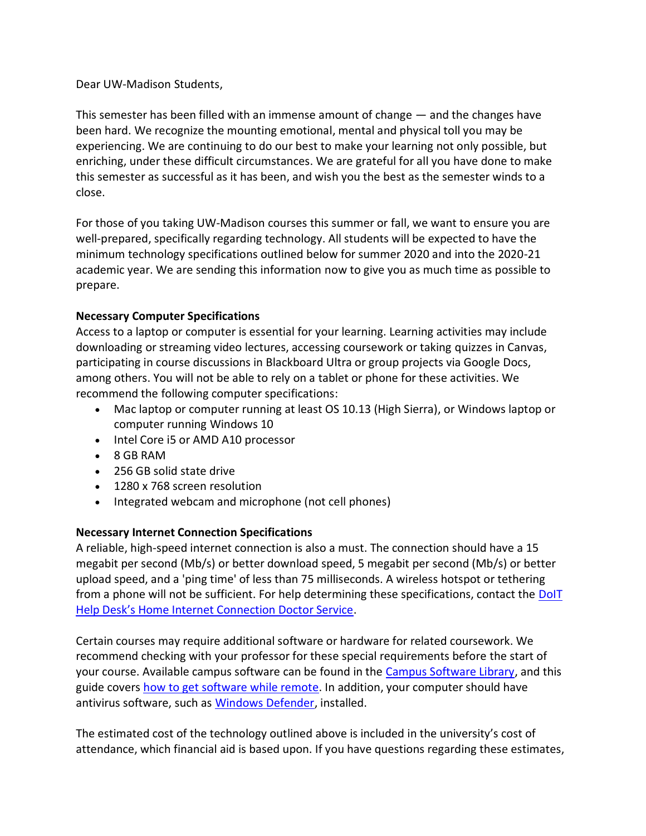Dear UW-Madison Students,

This semester has been filled with an immense amount of change — and the changes have been hard. We recognize the mounting emotional, mental and physical toll you may be experiencing. We are continuing to do our best to make your learning not only possible, but enriching, under these difficult circumstances. We are grateful for all you have done to make this semester as successful as it has been, and wish you the best as the semester winds to a close.

For those of you taking UW-Madison courses this summer or fall, we want to ensure you are well-prepared, specifically regarding technology. All students will be expected to have the minimum technology specifications outlined below for summer 2020 and into the 2020-21 academic year. We are sending this information now to give you as much time as possible to prepare.

## **Necessary Computer Specifications**

Access to a laptop or computer is essential for your learning. Learning activities may include downloading or streaming video lectures, accessing coursework or taking quizzes in Canvas, participating in course discussions in Blackboard Ultra or group projects via Google Docs, among others. You will not be able to rely on a tablet or phone for these activities. We recommend the following computer specifications:

- Mac laptop or computer running at least OS 10.13 (High Sierra), or Windows laptop or computer running Windows 10
- Intel Core i5 or AMD A10 processor
- 8 GB RAM
- 256 GB solid state drive
- 1280 x 768 screen resolution
- Integrated webcam and microphone (not cell phones)

## **Necessary Internet Connection Specifications**

A reliable, high-speed internet connection is also a must. The connection should have a 15 megabit per second (Mb/s) or better download speed, 5 megabit per second (Mb/s) or better upload speed, and a 'ping time' of less than 75 milliseconds. A wireless hotspot or tethering from a phone will not be sufficient. For help determining these specifications, contact the DoIT Help Desk'[s Home Internet Connection Doctor Service.](https://it.wisc.edu/news/home-internet-connection-doctor-service/)

Certain courses may require additional software or hardware for related coursework. We recommend checking with your professor for these special requirements before the start of your course. Available campus software can be found in the [Campus Software Library,](https://it.wisc.edu/services/software/) and this guide covers [how to get software while remote.](https://kb.wisc.edu/helpdesk/98912) In addition, your computer should have antivirus software, such as [Windows Defender,](https://kb.wisc.edu/38652) installed.

The estimated cost of the technology outlined above is included in the university's cost of attendance, which financial aid is based upon. If you have questions regarding these estimates,